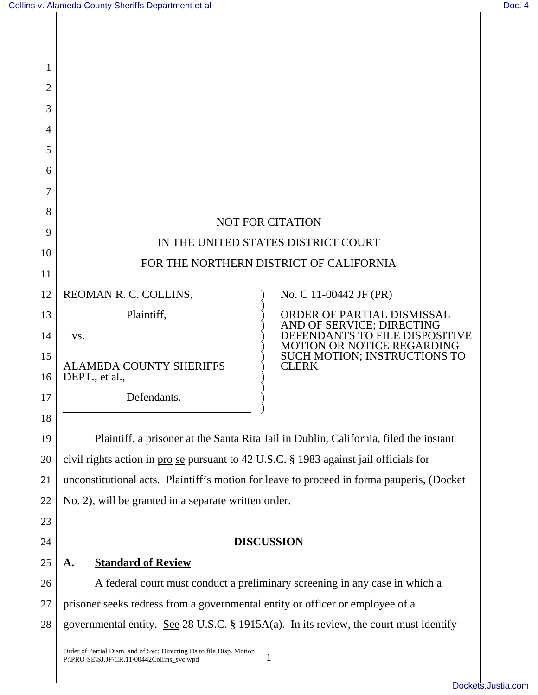| 1        |                                                                                                                         |                                                                                       |  |  |
|----------|-------------------------------------------------------------------------------------------------------------------------|---------------------------------------------------------------------------------------|--|--|
| 2        |                                                                                                                         |                                                                                       |  |  |
| 3        |                                                                                                                         |                                                                                       |  |  |
| 4        |                                                                                                                         |                                                                                       |  |  |
| 5        |                                                                                                                         |                                                                                       |  |  |
| 6        |                                                                                                                         |                                                                                       |  |  |
| 7        |                                                                                                                         |                                                                                       |  |  |
| 8        | <b>NOT FOR CITATION</b>                                                                                                 |                                                                                       |  |  |
| 9        | IN THE UNITED STATES DISTRICT COURT                                                                                     |                                                                                       |  |  |
| 10       | FOR THE NORTHERN DISTRICT OF CALIFORNIA                                                                                 |                                                                                       |  |  |
| 11       |                                                                                                                         |                                                                                       |  |  |
| 12       | REOMAN R. C. COLLINS,                                                                                                   | No. C 11-00442 JF (PR)                                                                |  |  |
| 13       | Plaintiff,                                                                                                              | ORDER OF PARTIAL DISMISSAL<br>AND OF SERVICE; DIRECTING                               |  |  |
| 14       | VS.                                                                                                                     | DEFENDANTS TO FILE DISPOS<br>MOTION OR NOTICE REGARDING                               |  |  |
| 15<br>16 | <b>ALAMEDA COUNTY SHERIFFS</b><br>DEPT., et al.,                                                                        | <b>SUCH MOTION; INSTRUCTIONS TO</b><br><b>CLERK</b>                                   |  |  |
| 17       | Defendants.                                                                                                             |                                                                                       |  |  |
| 18       |                                                                                                                         |                                                                                       |  |  |
| 19       |                                                                                                                         | Plaintiff, a prisoner at the Santa Rita Jail in Dublin, California, filed the instant |  |  |
| 20       | civil rights action in pro se pursuant to 42 U.S.C. § 1983 against jail officials for                                   |                                                                                       |  |  |
| 21       | unconstitutional acts. Plaintiff's motion for leave to proceed in forma pauperis, (Docket                               |                                                                                       |  |  |
| 22       | No. 2), will be granted in a separate written order.                                                                    |                                                                                       |  |  |
| 23       |                                                                                                                         |                                                                                       |  |  |
| 24       | <b>DISCUSSION</b>                                                                                                       |                                                                                       |  |  |
| 25       | <b>Standard of Review</b><br>A.                                                                                         |                                                                                       |  |  |
| 26       | A federal court must conduct a preliminary screening in any case in which a                                             |                                                                                       |  |  |
| 27       | prisoner seeks redress from a governmental entity or officer or employee of a                                           |                                                                                       |  |  |
| 28       | governmental entity. See 28 U.S.C. § 1915A(a). In its review, the court must identify                                   |                                                                                       |  |  |
|          | Order of Partial Dism. and of Svc; Directing Ds to file Disp. Motion<br>1<br>P:\PRO-SE\SJ.JF\CR.11\00442Collins_svc.wpd |                                                                                       |  |  |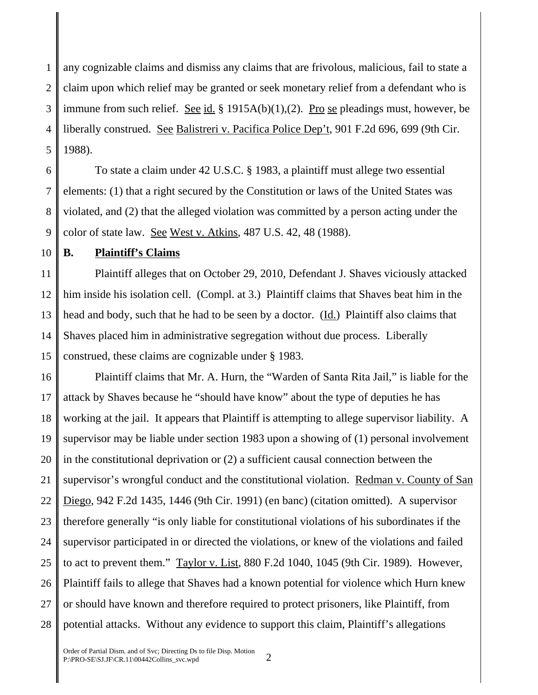1 2 3 4 5 any cognizable claims and dismiss any claims that are frivolous, malicious, fail to state a claim upon which relief may be granted or seek monetary relief from a defendant who is immune from such relief. See id. § 1915A(b)(1),(2). Pro se pleadings must, however, be liberally construed. See Balistreri v. Pacifica Police Dep't, 901 F.2d 696, 699 (9th Cir. 1988).

6 7 8 9 To state a claim under 42 U.S.C. § 1983, a plaintiff must allege two essential elements: (1) that a right secured by the Constitution or laws of the United States was violated, and (2) that the alleged violation was committed by a person acting under the color of state law. See West v. Atkins, 487 U.S. 42, 48 (1988).

10

# **B. Plaintiff's Claims**

11 12 13 14 15 Plaintiff alleges that on October 29, 2010, Defendant J. Shaves viciously attacked him inside his isolation cell. (Compl. at 3.) Plaintiff claims that Shaves beat him in the head and body, such that he had to be seen by a doctor. (Id.) Plaintiff also claims that Shaves placed him in administrative segregation without due process. Liberally construed, these claims are cognizable under § 1983.

16 17 18 19 20 21 22 23 24 25 26 27 28 Plaintiff claims that Mr. A. Hurn, the "Warden of Santa Rita Jail," is liable for the attack by Shaves because he "should have know" about the type of deputies he has working at the jail. It appears that Plaintiff is attempting to allege supervisor liability. A supervisor may be liable under section 1983 upon a showing of (1) personal involvement in the constitutional deprivation or (2) a sufficient causal connection between the supervisor's wrongful conduct and the constitutional violation. Redman v. County of San Diego, 942 F.2d 1435, 1446 (9th Cir. 1991) (en banc) (citation omitted). A supervisor therefore generally "is only liable for constitutional violations of his subordinates if the supervisor participated in or directed the violations, or knew of the violations and failed to act to prevent them." Taylor v. List, 880 F.2d 1040, 1045 (9th Cir. 1989). However, Plaintiff fails to allege that Shaves had a known potential for violence which Hurn knew or should have known and therefore required to protect prisoners, like Plaintiff, from potential attacks. Without any evidence to support this claim, Plaintiff's allegations

Order of Partial Dism. and of Svc; Directing Ds to file Disp. Motion Order of Partial Disin. and of Svc; Directing Ds to the Disp. Motion  $P:\PPRO-SE\setminus SL(CR.11\setminus 00442Collins$  svc.wpd  $2$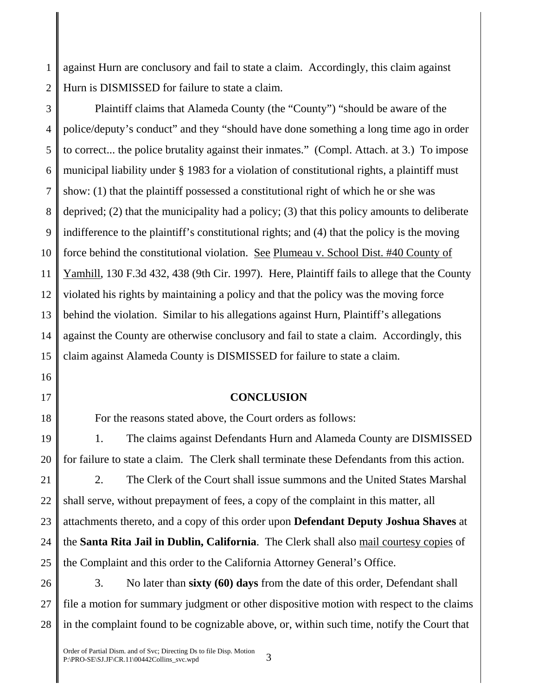1 2 against Hurn are conclusory and fail to state a claim. Accordingly, this claim against Hurn is DISMISSED for failure to state a claim.

3 4 5 6 7 8 9 10 11 12 13 14 15 Plaintiff claims that Alameda County (the "County") "should be aware of the police/deputy's conduct" and they "should have done something a long time ago in order to correct... the police brutality against their inmates." (Compl. Attach. at 3.) To impose municipal liability under § 1983 for a violation of constitutional rights, a plaintiff must show: (1) that the plaintiff possessed a constitutional right of which he or she was deprived; (2) that the municipality had a policy; (3) that this policy amounts to deliberate indifference to the plaintiff's constitutional rights; and (4) that the policy is the moving force behind the constitutional violation. See Plumeau v. School Dist. #40 County of Yamhill, 130 F.3d 432, 438 (9th Cir. 1997). Here, Plaintiff fails to allege that the County violated his rights by maintaining a policy and that the policy was the moving force behind the violation. Similar to his allegations against Hurn, Plaintiff's allegations against the County are otherwise conclusory and fail to state a claim. Accordingly, this claim against Alameda County is DISMISSED for failure to state a claim.

- 16
- 17

18

#### **CONCLUSION**

For the reasons stated above, the Court orders as follows:

19 20 1. The claims against Defendants Hurn and Alameda County are DISMISSED for failure to state a claim. The Clerk shall terminate these Defendants from this action.

21 22 23 24 25 2. The Clerk of the Court shall issue summons and the United States Marshal shall serve, without prepayment of fees, a copy of the complaint in this matter, all attachments thereto, and a copy of this order upon **Defendant Deputy Joshua Shaves** at the **Santa Rita Jail in Dublin, California**. The Clerk shall also mail courtesy copies of the Complaint and this order to the California Attorney General's Office.

26 27 28 3. No later than **sixty (60) days** from the date of this order, Defendant shall file a motion for summary judgment or other dispositive motion with respect to the claims in the complaint found to be cognizable above, or, within such time, notify the Court that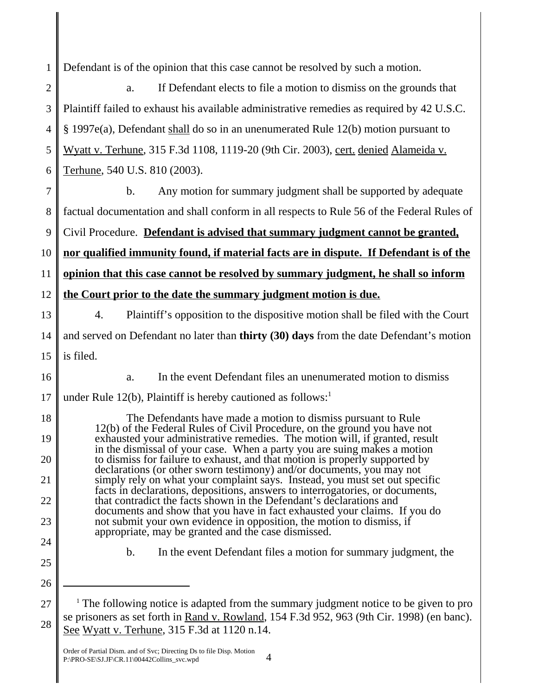1 Defendant is of the opinion that this case cannot be resolved by such a motion.

| $\mathbf{2}$   | If Defendant elects to file a motion to dismiss on the grounds that<br>a.                                                                                                                                                                                                                                                                                                                                                                        |  |  |
|----------------|--------------------------------------------------------------------------------------------------------------------------------------------------------------------------------------------------------------------------------------------------------------------------------------------------------------------------------------------------------------------------------------------------------------------------------------------------|--|--|
| 3              | Plaintiff failed to exhaust his available administrative remedies as required by 42 U.S.C.                                                                                                                                                                                                                                                                                                                                                       |  |  |
| $\overline{4}$ | § 1997e(a), Defendant shall do so in an unenumerated Rule 12(b) motion pursuant to                                                                                                                                                                                                                                                                                                                                                               |  |  |
| 5              | Wyatt v. Terhune, 315 F.3d 1108, 1119-20 (9th Cir. 2003), cert. denied Alameida v.                                                                                                                                                                                                                                                                                                                                                               |  |  |
| 6              | Terhune, 540 U.S. 810 (2003).                                                                                                                                                                                                                                                                                                                                                                                                                    |  |  |
| 7              | $\mathbf{b}$ .<br>Any motion for summary judgment shall be supported by adequate                                                                                                                                                                                                                                                                                                                                                                 |  |  |
| 8              | factual documentation and shall conform in all respects to Rule 56 of the Federal Rules of                                                                                                                                                                                                                                                                                                                                                       |  |  |
| 9              | Civil Procedure. Defendant is advised that summary judgment cannot be granted,                                                                                                                                                                                                                                                                                                                                                                   |  |  |
| 10             | nor qualified immunity found, if material facts are in dispute. If Defendant is of the                                                                                                                                                                                                                                                                                                                                                           |  |  |
| 11             | opinion that this case cannot be resolved by summary judgment, he shall so inform                                                                                                                                                                                                                                                                                                                                                                |  |  |
| 12             | the Court prior to the date the summary judgment motion is due.                                                                                                                                                                                                                                                                                                                                                                                  |  |  |
| 13             | Plaintiff's opposition to the dispositive motion shall be filed with the Court<br>4.                                                                                                                                                                                                                                                                                                                                                             |  |  |
| 14             | and served on Defendant no later than thirty (30) days from the date Defendant's motion                                                                                                                                                                                                                                                                                                                                                          |  |  |
| 15             | is filed.                                                                                                                                                                                                                                                                                                                                                                                                                                        |  |  |
| 16             | In the event Defendant files an unenumerated motion to dismiss<br>a.                                                                                                                                                                                                                                                                                                                                                                             |  |  |
| 17             | under Rule 12(b), Plaintiff is hereby cautioned as follows:                                                                                                                                                                                                                                                                                                                                                                                      |  |  |
| 18             | The Defendants have made a motion to dismiss pursuant to Rule<br>12(b) of the Federal Rules of Civil Procedure, on the ground you have not                                                                                                                                                                                                                                                                                                       |  |  |
| 19             | exhausted your administrative remedies. The motion will, if granted, result<br>in the dismissal of your case. When a party you are suing makes a motion                                                                                                                                                                                                                                                                                          |  |  |
| 20             | to dismiss for failure to exhaust, and that motion is properly supported by<br>declarations (or other sworn testimony) and/or documents, you may not                                                                                                                                                                                                                                                                                             |  |  |
| 21             | simply rely on what your complaint says. Instead, you must set out specific<br>facts in declarations, depositions, answers to interrogatories, or documents,<br>that contradict the facts shown in the Defendant's declarations and<br>documents and show that you have in fact exhausted your claims. If you do<br>not submit your own evidence in opposition, the motion to dismiss, if<br>appropriate, may be granted and the case dismissed. |  |  |
| 22             |                                                                                                                                                                                                                                                                                                                                                                                                                                                  |  |  |
| 23             |                                                                                                                                                                                                                                                                                                                                                                                                                                                  |  |  |
| 24             | In the event Defendant files a motion for summary judgment, the<br>$\mathbf{b}$ .                                                                                                                                                                                                                                                                                                                                                                |  |  |
| 25             |                                                                                                                                                                                                                                                                                                                                                                                                                                                  |  |  |
| 26             |                                                                                                                                                                                                                                                                                                                                                                                                                                                  |  |  |
| 27             | <sup>1</sup> The following notice is adapted from the summary judgment notice to be given to pro<br>se prisoners as set forth in Rand v. Rowland, 154 F.3d 952, 963 (9th Cir. 1998) (en banc).                                                                                                                                                                                                                                                   |  |  |
| 28             | See Wyatt v. Terhune, 315 F.3d at 1120 n.14.                                                                                                                                                                                                                                                                                                                                                                                                     |  |  |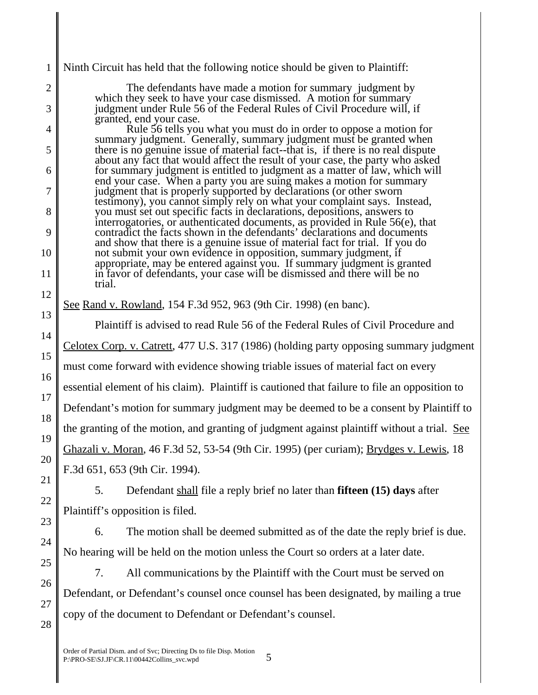1 Ninth Circuit has held that the following notice should be given to Plaintiff:

The defendants have made a motion for summary judgment by which they seek to have your case dismissed. A motion for summary judgment under Rule 56 of the Federal Rules of Civil Procedure will, if granted, end your case.

Rule 56 tells you what you must do in order to oppose a motion for summary judgment. Generally, summary judgment must be granted when there is no genuine issue of material fact--that is, if there is no real dispute about any fact that would affect the result of your case, the party who asked for summary judgment is entitled to judgment as a matter of law, which will end your case. When a party you are suing makes a motion for summary judgment that is properly supported by declarations (or other sworn testimony), you cannot simply rely on what your complaint says. Instead, you must set out specific facts in declarations, depositions, answers to interrogatories, or authenticated documents, as provided in Rule 56(e), that contradict the facts shown in the defendants' declarations and documents and show that there is a genuine issue of material fact for trial. If you do not submit your own evidence in opposition, summary judgment, if appropriate, may be entered against you. If summary judgment is granted in favor of defendants, your case will be dismissed and there will be no trial.

# See Rand v. Rowland, 154 F.3d 952, 963 (9th Cir. 1998) (en banc).

Plaintiff is advised to read Rule 56 of the Federal Rules of Civil Procedure and Celotex Corp. v. Catrett, 477 U.S. 317 (1986) (holding party opposing summary judgment must come forward with evidence showing triable issues of material fact on every essential element of his claim). Plaintiff is cautioned that failure to file an opposition to Defendant's motion for summary judgment may be deemed to be a consent by Plaintiff to the granting of the motion, and granting of judgment against plaintiff without a trial. See Ghazali v. Moran, 46 F.3d 52, 53-54 (9th Cir. 1995) (per curiam); Brydges v. Lewis, 18 F.3d 651, 653 (9th Cir. 1994).

5. Defendant shall file a reply brief no later than **fifteen (15) days** after Plaintiff's opposition is filed.

6. The motion shall be deemed submitted as of the date the reply brief is due. No hearing will be held on the motion unless the Court so orders at a later date.

7. All communications by the Plaintiff with the Court must be served on Defendant, or Defendant's counsel once counsel has been designated, by mailing a true copy of the document to Defendant or Defendant's counsel.

11

12

13

14

15

16

17

18

19

20

21

22

23

24

25

26

27

28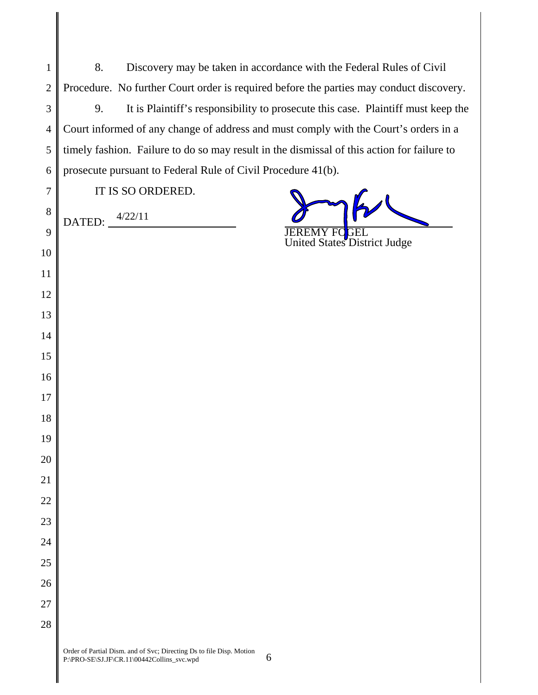| $1 \parallel$ | Discovery may be taken in accordance with the Federal Rules of Civil                        |
|---------------|---------------------------------------------------------------------------------------------|
|               | 2   Procedure. No further Court order is required before the parties may conduct discovery. |

 9. It is Plaintiff's responsibility to prosecute this case. Plaintiff must keep the Court informed of any change of address and must comply with the Court's orders in a timely fashion. Failure to do so may result in the dismissal of this action for failure to prosecute pursuant to Federal Rule of Civil Procedure 41(b).

| 5               |
|-----------------|
| 6               |
| $\overline{7}$  |
| 8               |
| 9               |
| 10              |
| 11              |
| 12              |
| 13              |
| 14              |
| 15              |
| 16              |
| $\frac{17}{1}$  |
| 18              |
| 19              |
| $\overline{20}$ |
| $\overline{21}$ |

IT IS SO ORDERED.

4/22/11

 $\overline{D}$ DATED:  $\overline{J}$ EREMY FOGEL

United States District Judge